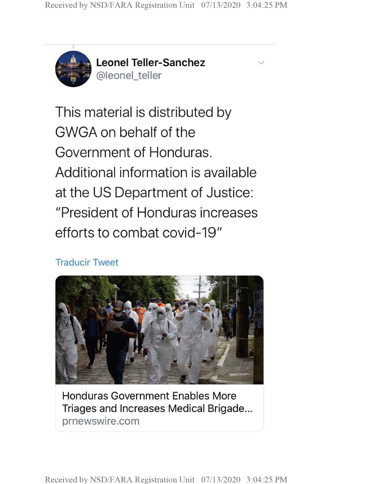$\vee$ 



**Leonel Teller-Sanchez** @leonel\_teller

This material is distributed by GWGA on behalf of the Government of Honduras. Additional information is available at the US Department of Justice: "President of Honduras increases efforts to combat covid-19"

## Traducir Tweet



Honduras Government Enables More Triages and Increases Medical Brigade prnewswire.com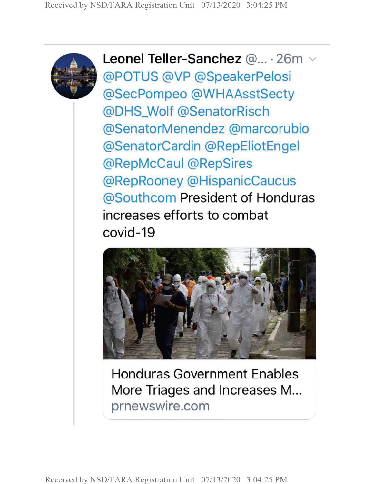

**Leonel Teller-Sanchez** @... • 26m ^ @POTUS @VP @SpeakerPelosi @SecPompeo @WHAAsstSecty @DHS\_Wolf @SenatorRisch @SenatorMenendez @marcorubio @SenatorCardin @RepEliotEngel @RepMcCaul @RepSires @RepRooney @HispanicCaucus @Southcom President of Honduras increases efforts to combat covid-19



Honduras Government Enables More Triages and Increases M... prnewswire.com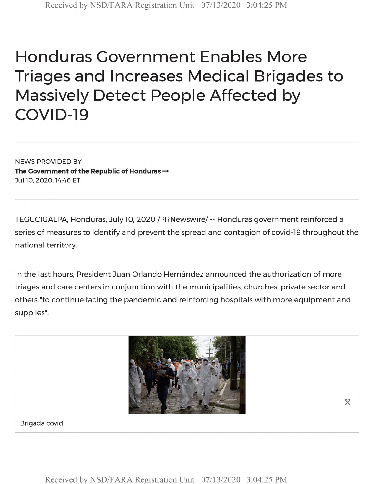## Honduras Government Enables More Triages and Increases Medical Brigades to Massively Detect People Affected by COVID-19

NEWS PROVIDED BY **The Government of the Republic of Honduras —** JullO, 2020,14:46 ET

TEGUCIGALPA, Honduras, July 10, 2020/PRNewswire/- Honduras government reinforced <sup>a</sup> series of measures to identify and prevent the spread and contagion of covid-19 throughout the national territory.

In the last hours, President Juan Orlando Hernández announced the authorization of more triages and care centers in conjunction with the municipalities, churches, private sector and others "to continue facing the pandemic and reinforcing hospitals with more equipment and supplies".



Brigada covid